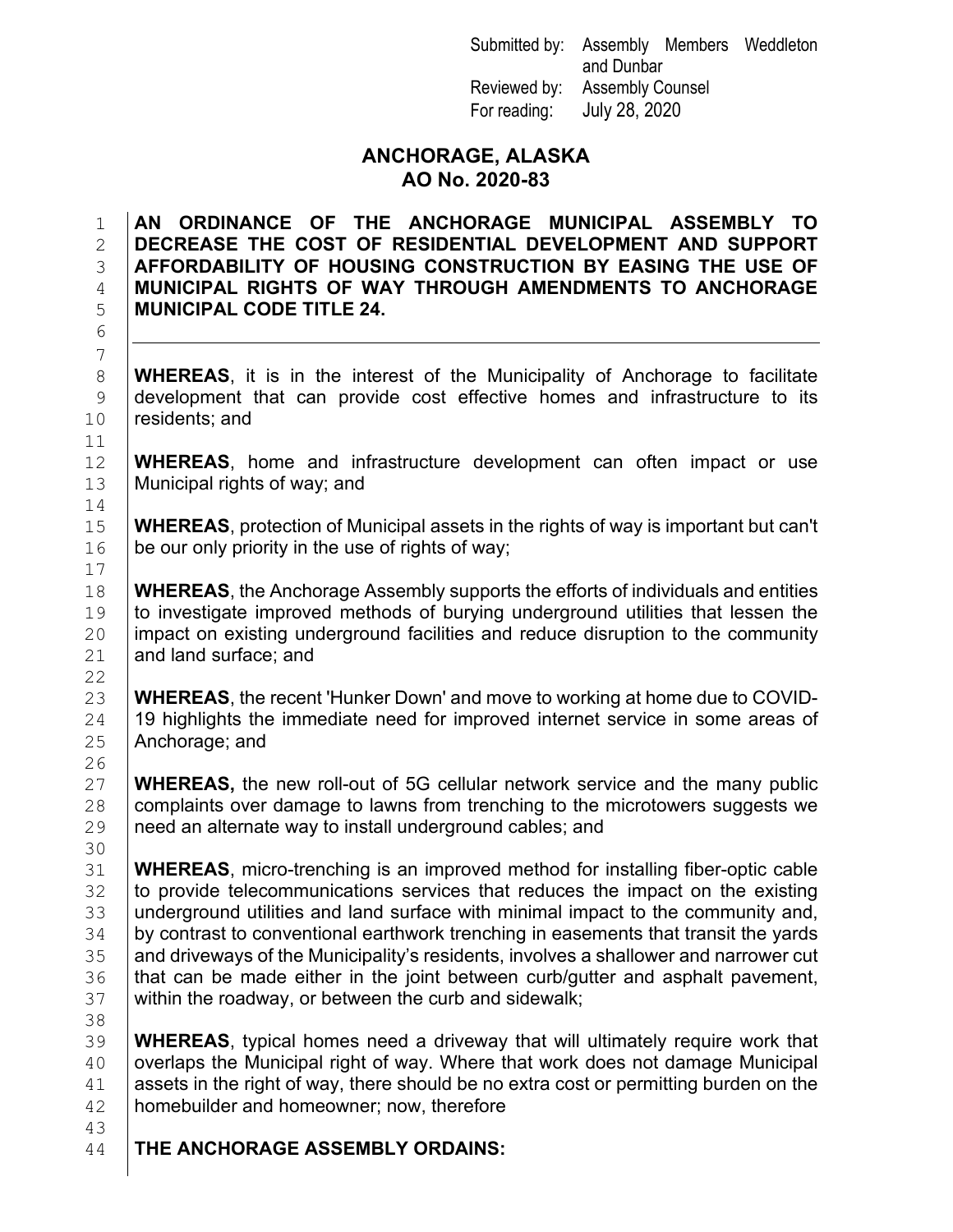Submitted by: Assembly Members Weddleton and Dunbar Reviewed by: Assembly Counsel For reading: July 28, 2020

## **ANCHORAGE, ALASKA AO No. 2020-83**

#### 1 **AN ORDINANCE OF THE ANCHORAGE MUNICIPAL ASSEMBLY TO** 2 **DECREASE THE COST OF RESIDENTIAL DEVELOPMENT AND SUPPORT**  3 **AFFORDABILITY OF HOUSING CONSTRUCTION BY EASING THE USE OF**  4 **MUNICIPAL RIGHTS OF WAY THROUGH AMENDMENTS TO ANCHORAGE**  5 **MUNICIPAL CODE TITLE 24.**

8 **WHEREAS**, it is in the interest of the Municipality of Anchorage to facilitate<br>9 development that can provide cost effective homes and infrastructure to its  $\begin{array}{c|c} 9 & \text{development that can provide cost effective homes and infrastructure to its} \end{array}$ <br>10 residents; and residents; and

12 **WHEREAS**, home and infrastructure development can often impact or use <br>13 Municipal rights of way: and Municipal rights of way; and

15 **WHEREAS**, protection of Municipal assets in the rights of way is important but can't <br>16 **be** our only priority in the use of rights of way; be our only priority in the use of rights of way;

18 **WHEREAS**, the Anchorage Assembly supports the efforts of individuals and entities 19 **WHEREAS**, the Anchorage Assembly supports the distribution in the second the 19 to investigate improved methods of burying underground utilities that lessen the<br>20 impact on existing underground facilities and reduce disruption to the community 20  $\left| \right|$  impact on existing underground facilities and reduce disruption to the community and land surface: and and land surface; and

23 **WHEREAS**, the recent 'Hunker Down' and move to working at home due to COVID-<br>24 19 highlights the immediate need for improved internet service in some areas of 24  $\mid$  19 highlights the immediate need for improved internet service in some areas of 25 Anchorage; and Anchorage; and

27 **WHEREAS,** the new roll-out of 5G cellular network service and the many public 28 complaints over damage to lawns from trenching to the microtowers suggests we 28  $\mid$  complaints over damage to lawns from trenching to the microtowers suggests we<br>29 need an alternate way to install underground cables; and need an alternate way to install underground cables; and

31 **WHEREAS**, micro-trenching is an improved method for installing fiber-optic cable<br>32 to provide telecommunications services that reduces the impact on the existing to provide telecommunications services that reduces the impact on the existing 33 |underground utilities and land surface with minimal impact to the community and,<br>34 bv contrast to conventional earthwork trenching in easements that transit the vards 34 by contrast to conventional earthwork trenching in easements that transit the yards<br>35 and driveways of the Municipality's residents, involves a shallower and narrower cut 35 and driveways of the Municipality's residents, involves a shallower and narrower cut<br>36 althat can be made either in the ioint between curb/qutter and asphalt pavement.  $36$  that can be made either in the joint between curb/gutter and asphalt pavement,  $37$  within the roadway, or between the curb and sidewalk; within the roadway, or between the curb and sidewalk;

39 **WHEREAS**, typical homes need a driveway that will ultimately require work that overlaps the Municipal right of way. Where that work does not damage Municipal  $\begin{array}{c|c} 41 & \text{asserts in the right of way, there should be no extra cost or permitting burden on the 42} \end{array}$ homebuilder and homeowner; now, therefore

**THE ANCHORAGE ASSEMBLY ORDAINS:** 

7 11<br>12  $\begin{array}{c} 14 \\ 15 \end{array}$ 17<br>18  $\begin{array}{c} 22 \\ 23 \end{array}$  $\frac{26}{27}$ 30<br>31 38<br>39

6

43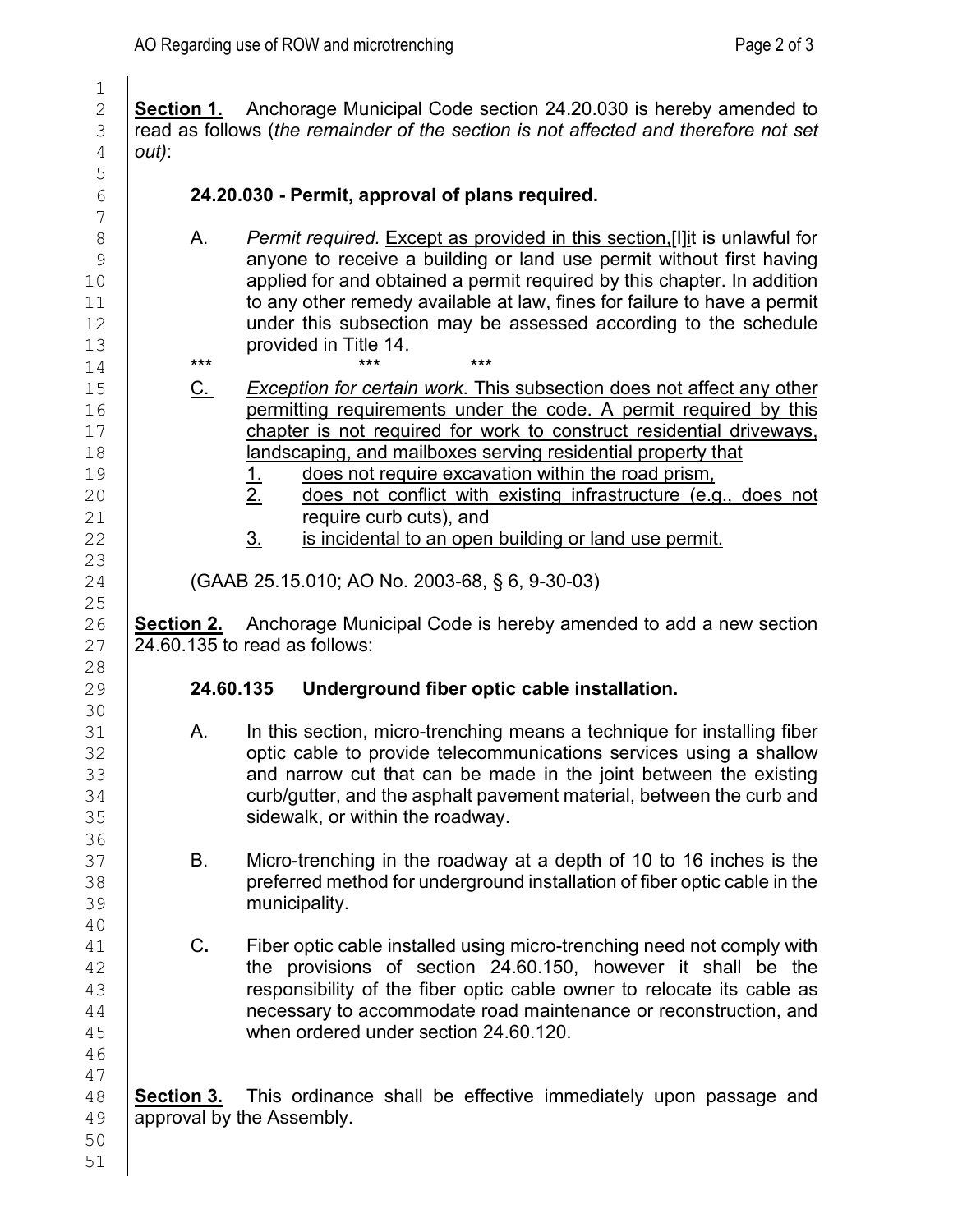2 **Section 1.** Anchorage Municipal Code section 24.20.030 is hereby amended to read as follows (the remainder of the section is not affected and therefore not set 3 read as follows (*the remainder of the section is not affected and therefore not set*  $\frac{4}{1}$  *out*): 4 *out)*: 6 **24.20.030 - Permit, approval of plans required.** 8 A. *Permit required.* Except as provided in this section.[I] it is unlawful for <br>9 anyone to receive a building or land use permit without first having 9 anyone to receive a building or land use permit without first having<br>10 applied for and obtained a permit required by this chapter. In addition  $\begin{array}{c|c} 10 & \text{applied for and obtained a permit required by this chapter. In addition} \ 11 & \text{to any other remedy available at law. fines for failure to have a permit} \end{array}$ 11 to any other remedy available at law, fines for failure to have a permit<br>12 **I** ander this subsection may be assessed according to the schedule 12 under this subsection may be assessed according to the schedule<br>13 **provided in Title 14**  $\begin{array}{c|c} 13 & \text{provided in Title 14.} \\ 14 & \end{array}$ 14 \*\*\* \*\*\* \*\*\* \*\*\* \*\*\* 15 C. *Exception for certain work*. This subsection does not affect any other<br>16 **C. Communition of the community** permit required by this permitting requirements under the code. A permit required by this 17 chapter is not required for work to construct residential driveways,<br>18 **construct in a landscaping** and mailboxes serving residential property that 18 **landscaping, and mailboxes serving residential property that**<br>19 **1.** does not require excavation within the road prism. 19 1. does not require excavation within the road prism,<br>20 1. <u>2. does not conflict with existing infrastructure (e.g</u> 20 2. does not conflict with existing infrastructure (e.g., does not require curb cuts) and 21 require curb cuts), and<br>22 3. is incidental to an open is incidental to an open building or land use permit. 24 (GAAB 25.15.010; AO No. 2003-68, § 6, 9-30-03) 26 **Section 2.** Anchorage Municipal Code is hereby amended to add a new section  $\overline{27}$  24.60.135 to read as follows:  $24.60.135$  to read as follows:

## 29 **24.60.135 Underground fiber optic cable installation.**

- 31 A. In this section, micro-trenching means a technique for installing fiber<br>32 **A. Contract on the contract of the contract** on the contractions services using a shallow 32 optic cable to provide telecommunications services using a shallow<br>33 **or and all and that can be made in the ioint between the existing** 33 and narrow cut that can be made in the joint between the existing<br>34 curb/qutter, and the asphalt pavement material, between the curb and 34 curb/gutter, and the asphalt pavement material, between the curb and<br>35 sidewalk, or within the roadwav. sidewalk, or within the roadway.
- 37 B. Micro-trenching in the roadway at a depth of 10 to 16 inches is the<br>38 **B. Constrained in the interpolation** of fiber optic cable in the preferred method for underground installation of fiber optic cable in the 39 municipality.
- 41 C. Fiber optic cable installed using micro-trenching need not comply with<br>42 **C. Fiber provisions of section 24.60.150**. however it shall be the 42 the provisions of section 24.60.150, however it shall be the<br>43 esponsibility of the fiber optic cable owner to relocate its cable as 43 **responsibility of the fiber optic cable owner to relocate its cable as**<br>44 **hecessary to accommodate road maintenance or reconstruction, and** 44 **heath of accommodate road maintenance or reconstruction, and**<br>45 **heating of the control when ordered under section 24.60.120.** when ordered under section 24,60.120.

48 **Section 3.** This ordinance shall be effective immediately upon passage and 49 **Section** approval by the Assembly. approval by the Assembly.

- $\frac{1}{2}$ 5  $\begin{array}{c} 7 \\ 8 \end{array}$ 23  $\frac{25}{26}$ 28<br>29 30<br>31 36<br>37 40<br>41 46 47
- 50 51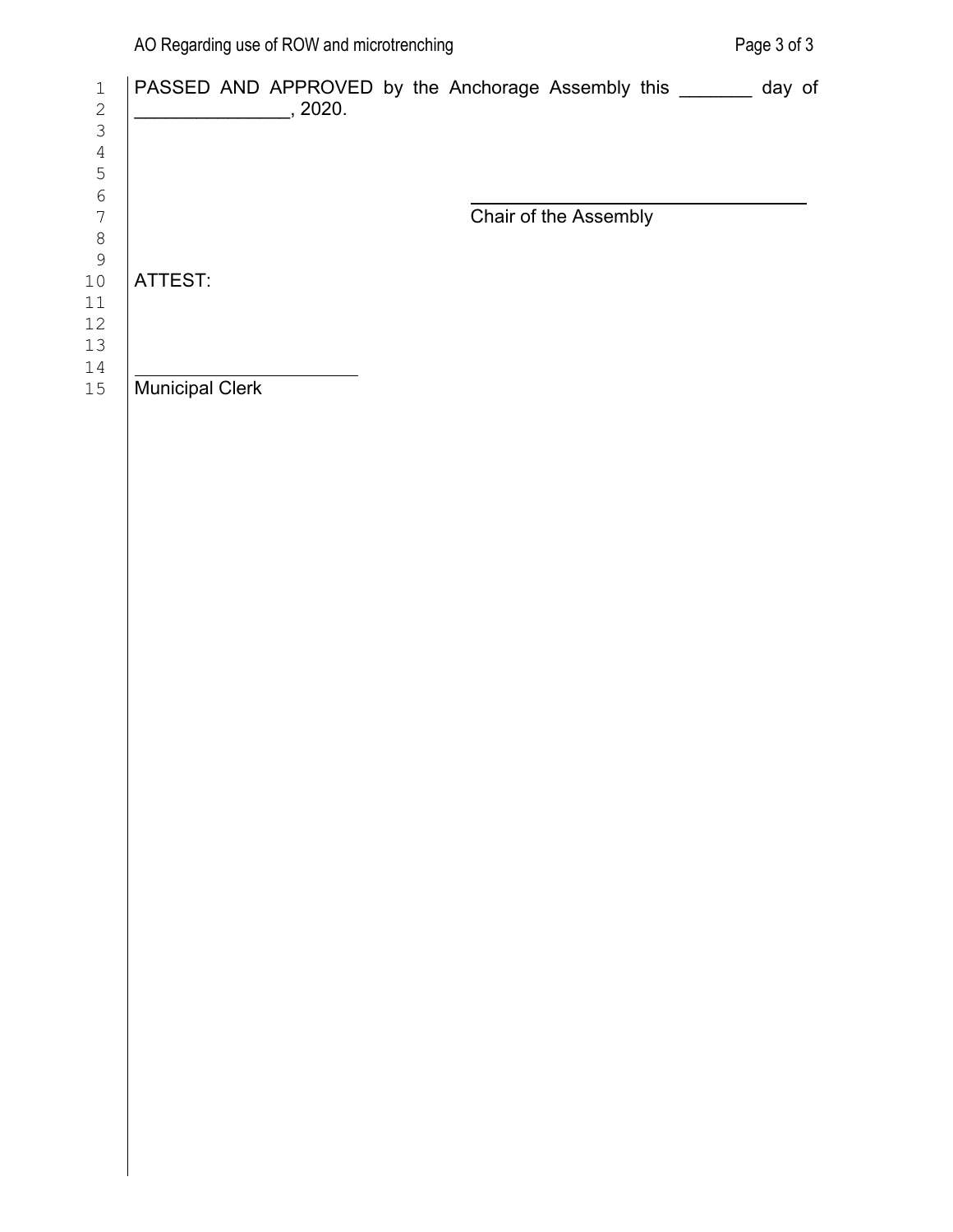| PASSED AND APPROVED by the Anchorage Assembly this _______ day of |  |                       |  |
|-------------------------------------------------------------------|--|-----------------------|--|
|                                                                   |  | Chair of the Assembly |  |
| ATTEST:                                                           |  |                       |  |
| <b>Municipal Clerk</b>                                            |  |                       |  |
|                                                                   |  |                       |  |
|                                                                   |  |                       |  |
|                                                                   |  |                       |  |
|                                                                   |  |                       |  |
|                                                                   |  |                       |  |
|                                                                   |  |                       |  |
|                                                                   |  |                       |  |
|                                                                   |  |                       |  |
|                                                                   |  |                       |  |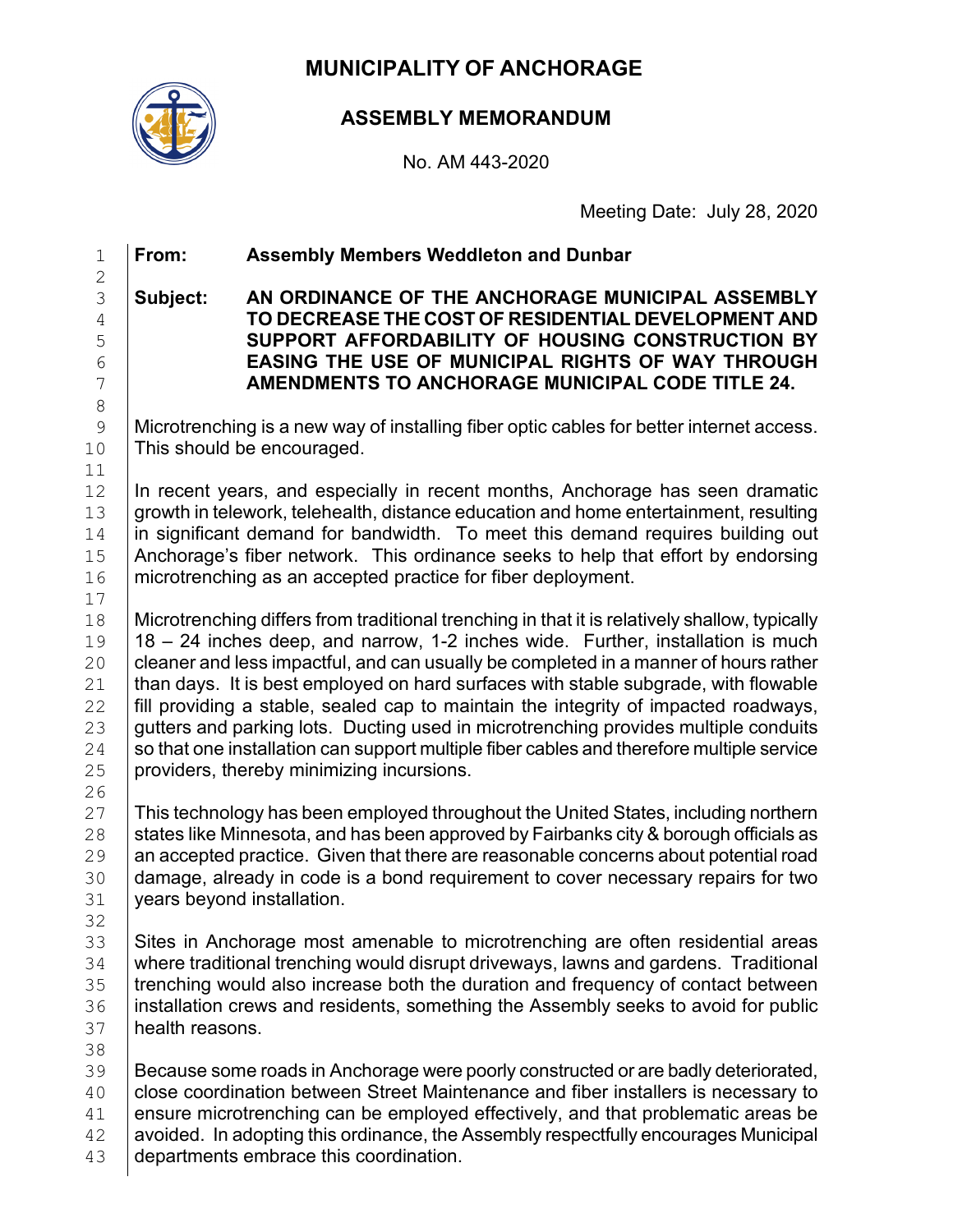## **MUNICIPALITY OF ANCHORAGE**



## **ASSEMBLY MEMORANDUM**

No. AM 443-2020

Meeting Date: July 28, 2020

## 1 **From: Assembly Members Weddleton and Dunbar**

#### $\frac{2}{3}$ 3 **Subject: AN ORDINANCE OF THE ANCHORAGE MUNICIPAL ASSEMBLY**  4 **TO DECREASE THE COST OF RESIDENTIAL DEVELOPMENT AND**  5 **SUPPORT AFFORDABILITY OF HOUSING CONSTRUCTION BY**  6 **EASING THE USE OF MUNICIPAL RIGHTS OF WAY THROUGH**  7 **AMENDMENTS TO ANCHORAGE MUNICIPAL CODE TITLE 24.**

Microtrenching is a new way of installing fiber optic cables for better internet access. 10 This should be encouraged.

 $\begin{array}{c|c|c|c|c} 12 & \text{In recent years, and especially in recent months, Ano (has seen dramatic growth in the the work, the behavior of the second year) is 13.}\end{array}$ 13 growth in telework, telehealth, distance education and home entertainment, resulting<br>14 in significant demand for bandwidth. To meet this demand requires building out 14  $\parallel$  in significant demand for bandwidth. To meet this demand requires building out 15 Anchorage's fiber network. This ordinance seeks to help that effort by endorsing 15 Anchorage's fiber network. This ordinance seeks to help that effort by endorsing <br>16 microtrenching as an accepted practice for fiber deployment. microtrenching as an accepted practice for fiber deployment.

18 | Microtrenching differs from traditional trenching in that it is relatively shallow, typically<br>19 | 18 - 24 inches deep, and narrow, 1-2 inches wide. Further, installation is much  $19 \mid 18 - 24$  inches deep, and narrow, 1-2 inches wide. Further, installation is much  $20 \mid$  cleaner and less impactful, and can usually be completed in a manner of hours rather 20  $\mid$  cleaner and less impactful, and can usually be completed in a manner of hours rather<br>21  $\mid$  than days. It is best employed on hard surfaces with stable subgrade, with flowable 21  $\parallel$  than days. It is best employed on hard surfaces with stable subgrade, with flowable 22  $\parallel$  fill providing a stable, sealed cap to maintain the integrity of impacted roadways. 22  $\parallel$  fill providing a stable, sealed cap to maintain the integrity of impacted roadways,  $\parallel$  23  $\parallel$  gutters and parking lots. Ducting used in microtrenching provides multiple conduits 23 gutters and parking lots. Ducting used in microtrenching provides multiple conduits<br>24 So that one installation can support multiple fiber cables and therefore multiple service 24  $\mid$  so that one installation can support multiple fiber cables and therefore multiple service<br>25  $\mid$  providers, thereby minimizing incursions. providers, thereby minimizing incursions.

 $\frac{26}{27}$ 27  $\mid$  This technology has been employed throughout the United States, including northern 28  $\mid$  states like Minnesota, and has been approved by Fairbanks city & borough officials as 28 States like Minnesota, and has been approved by Fairbanks city & borough officials as <br>29 Stan accepted practice. Given that there are reasonable concerns about potential road 29 an accepted practice. Given that there are reasonable concerns about potential road<br>30 damage, already in code is a bond requirement to cover necessary repairs for two 30 damage, already in code is a bond requirement to cover necessary repairs for two <br>31 years beyond installation. years beyond installation.

32<br>33 33 Sites in Anchorage most amenable to microtrenching are often residential areas<br>34 Numere traditional trenching would disrupt driveways, lawns and gardens. Traditional 34 where traditional trenching would disrupt driveways, lawns and gardens. Traditional<br>35 trenching would also increase both the duration and frequency of contact between trenching would also increase both the duration and frequency of contact between 36 installation crews and residents, something the Assembly seeks to avoid for public 37 inclusions. health reasons.

38<br>39 Because some roads in Anchorage were poorly constructed or are badly deteriorated, 40 close coordination between Street Maintenance and fiber installers is necessary to  $\begin{array}{c|c} 41 & \text{ensure microtrenching can be employed effectively, and that problematic areas be a two-angled.} \end{array}$  avoided. In adopting this ordinance, the Assembly respectfully encourages Municipal  $\begin{array}{c|c} 42 & \text{avoided. In adopting this ordinance, the Assembly respectively, the probability encourages Municipal  
departments embrace this coordination.$ departments embrace this coordination.

8  $\begin{array}{c} 11 \\ 12 \end{array}$  $\begin{array}{c} 17 \\ 18 \end{array}$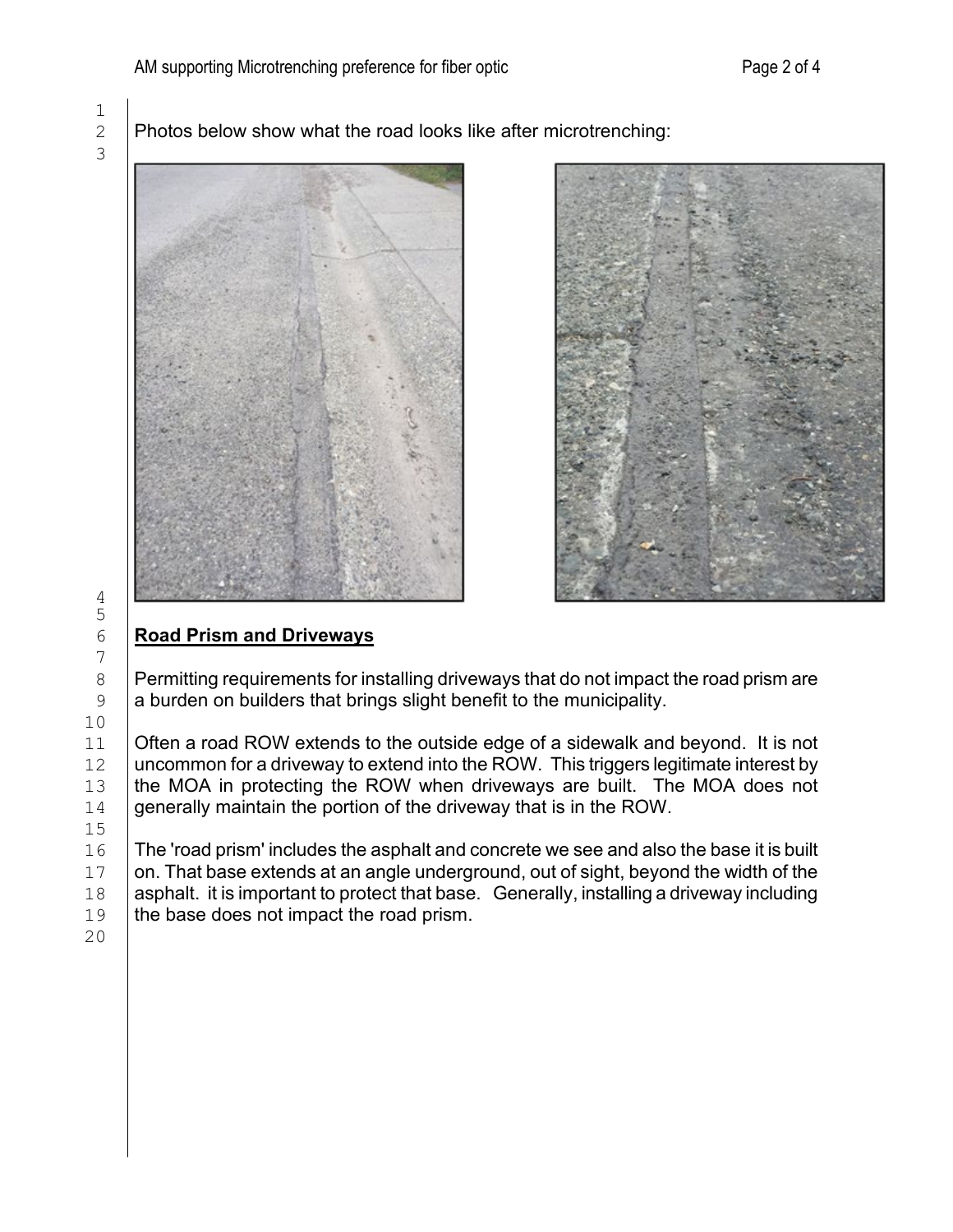$\frac{1}{2}$ 3

Photos below show what the road looks like after microtrenching:





# 6 **Road Prism and Driveways**

 $8$  Permitting requirements for installing driveways that do not impact the road prism are <br>9 a burden on builders that brings slight benefit to the municipality. a burden on builders that brings slight benefit to the municipality.

11  $\vert$  Often a road ROW extends to the outside edge of a sidewalk and beyond. It is not 12  $\vert$  uncommon for a driveway to extend into the ROW. This triggers legitimate interest by 12 uncommon for a driveway to extend into the ROW. This triggers legitimate interest by the MOA in protecting the ROW when driveways are built. The MOA does not 13 the MOA in protecting the ROW when driveways are built. The MOA does not  $14$  generally maintain the portion of the driveway that is in the ROW. generally maintain the portion of the driveway that is in the ROW.

16 The 'road prism' includes the asphalt and concrete we see and also the base it is built  $17$  on. That base extends at an angle underground, out of sight, beyond the width of the 17 on. That base extends at an angle underground, out of sight, beyond the width of the 18 asphalt. it is important to protect that base. Generally, installing a driveway including 18 asphalt. it is important to protect that base. Generally, installing a driveway including  $19$  the base does not impact the road prism. the base does not impact the road prism.

20

4 5

7

10<br>11

 $\frac{15}{16}$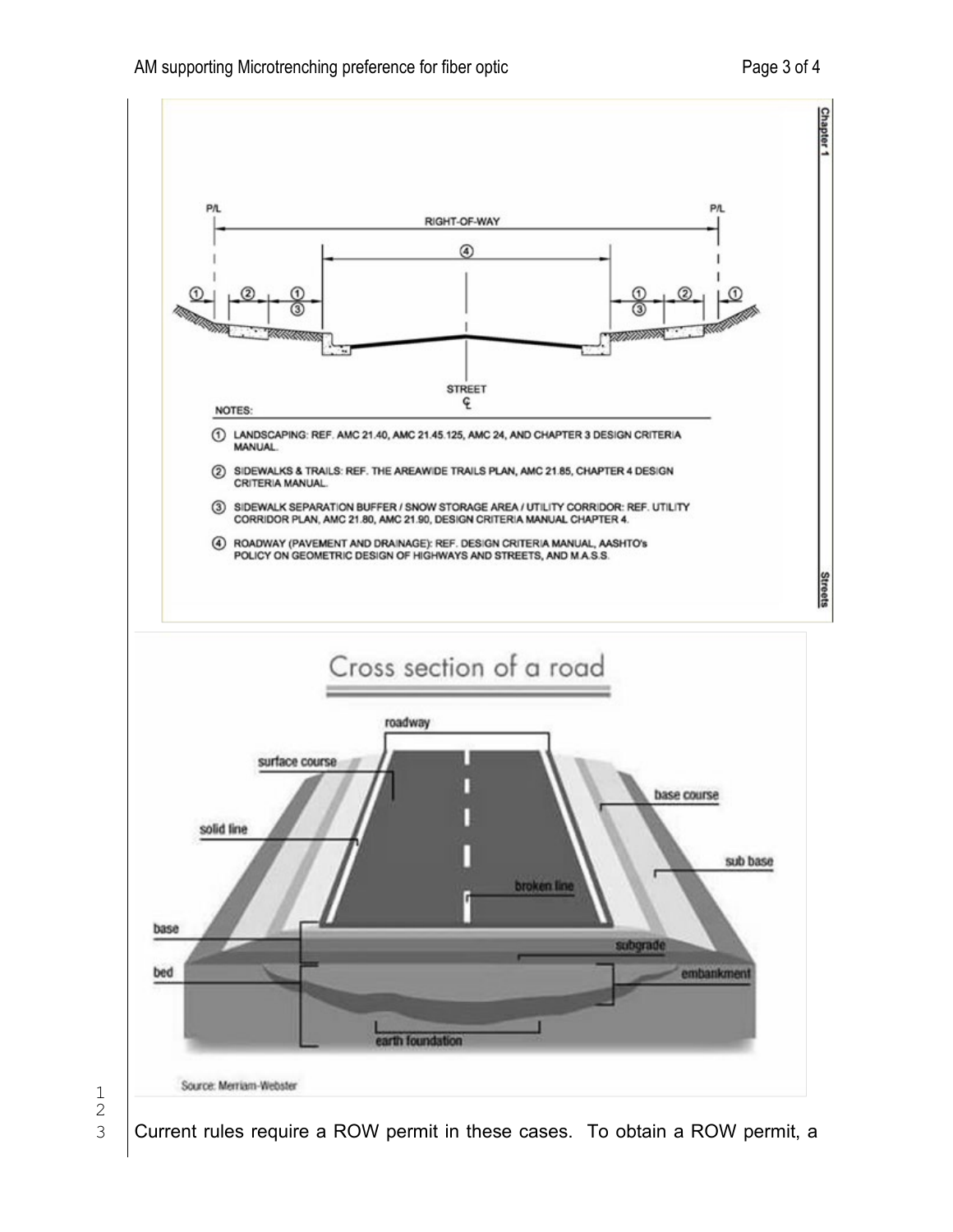



Current rules require a ROW permit in these cases. To obtain a ROW permit, a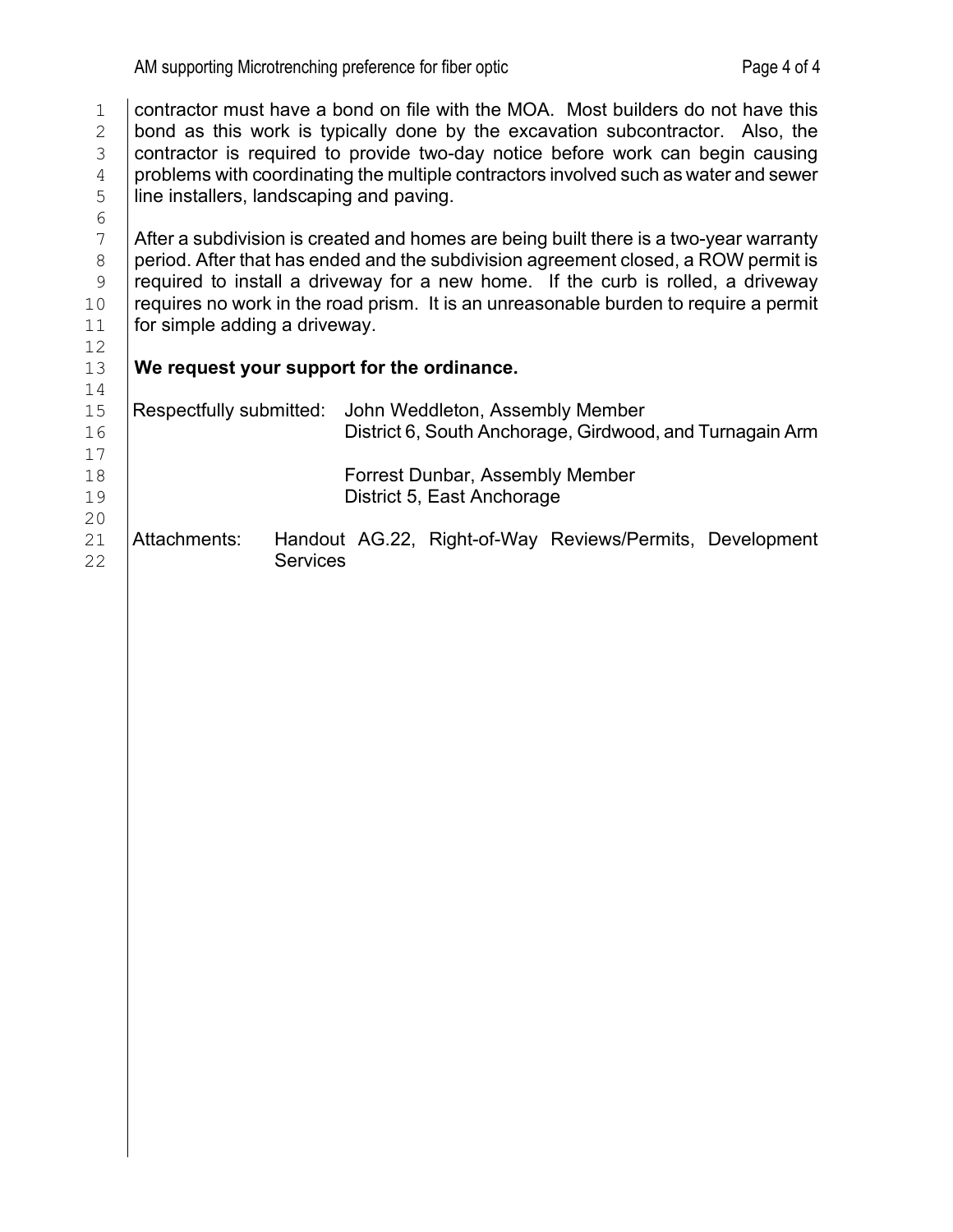1 contractor must have a bond on file with the MOA. Most builders do not have this  $\frac{2}{2}$  bond as this work is typically done by the excavation subcontractor. Also, the 2 bond as this work is typically done by the excavation subcontractor. Also, the contractor is required to provide two-day notice before work can begin causing 3 contractor is required to provide two-day notice before work can begin causing<br>4 problems with coordinating the multiple contractors involved such as water and sewer  $\frac{4}{5}$  problems with coordinating the multiple contractors involved such as water and sewer<br>
line installers, landscaping and paving. line installers, landscaping and paving.

 $7$  After a subdivision is created and homes are being built there is a two-year warranty<br>8 period. After that has ended and the subdivision agreement closed, a ROW permit is 8 period. After that has ended and the subdivision agreement closed, a ROW permit is required to install a driveway for a new home. If the curb is rolled, a driveway 9  $\vert$  required to install a driveway for a new home. If the curb is rolled, a driveway 10 requires no work in the road prism. It is an unreasonable burden to require a permit 10  $\vert$  requires no work in the road prism. It is an unreasonable burden to require a permit  $\vert$  11  $\vert$  for simple adding a driveway. for simple adding a driveway. 12<br>13

## 13 **We request your support for the ordinance.**

6<br>7

| 14 |                         |                 |                                        |                                 |                                                          |
|----|-------------------------|-----------------|----------------------------------------|---------------------------------|----------------------------------------------------------|
| 15 | Respectfully submitted: |                 |                                        | John Weddleton, Assembly Member |                                                          |
| 16 |                         |                 |                                        |                                 | District 6, South Anchorage, Girdwood, and Turnagain Arm |
| 17 |                         |                 |                                        |                                 |                                                          |
| 18 |                         |                 | <b>Forrest Dunbar, Assembly Member</b> |                                 |                                                          |
| 19 |                         |                 | District 5, East Anchorage             |                                 |                                                          |
| 20 |                         |                 |                                        |                                 |                                                          |
| 21 | Attachments:            |                 |                                        |                                 | Handout AG.22, Right-of-Way Reviews/Permits, Development |
| 22 |                         | <b>Services</b> |                                        |                                 |                                                          |
|    |                         |                 |                                        |                                 |                                                          |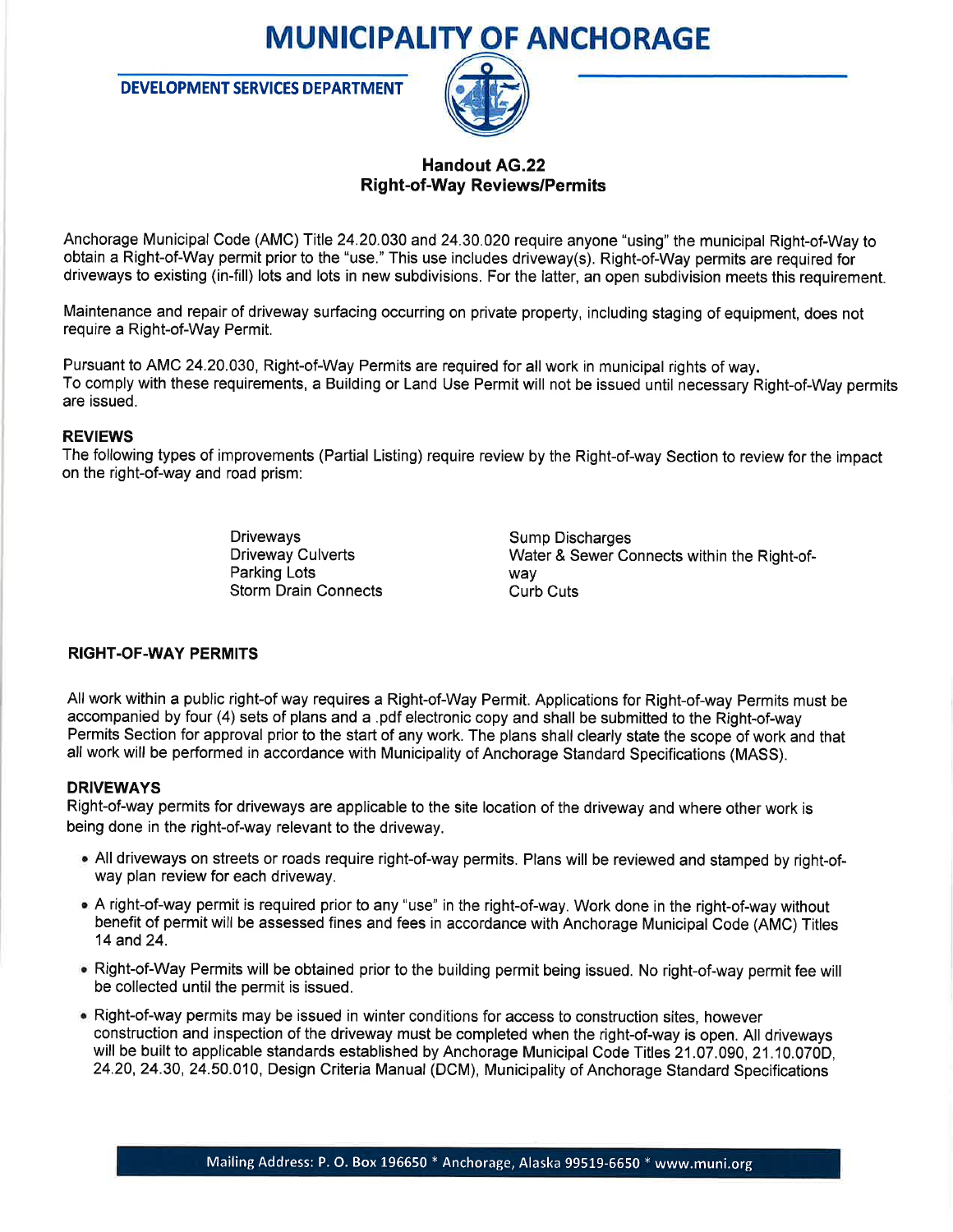# **MUNICIPALITY OF ANCHORAGE**

**DEVELOPMENT SERVICES DEPARTMENT** 



#### **Handout AG.22 Right-of-Way Reviews/Permits**

Anchorage Municipal Code (AMC) Title 24.20.030 and 24.30.020 require anyone "using" the municipal Right-of-Way to obtain a Right-of-Way permit prior to the "use." This use includes driveway(s). Right-of-Way permits are required for driveways to existing (in-fill) lots and lots in new subdivisions. For the latter, an open subdivision meets this requirement.

Maintenance and repair of driveway surfacing occurring on private property, including staging of equipment, does not require a Right-of-Way Permit.

Pursuant to AMC 24.20.030, Right-of-Way Permits are required for all work in municipal rights of way. To comply with these requirements, a Building or Land Use Permit will not be issued until necessary Right-of-Way permits are issued.

#### **REVIEWS**

The following types of improvements (Partial Listing) require review by the Right-of-way Section to review for the impact on the right-of-way and road prism:

> **Driveways Driveway Culverts** Parking Lots **Storm Drain Connects**

**Sump Discharges** Water & Sewer Connects within the Right-ofway **Curb Cuts** 

#### **RIGHT-OF-WAY PERMITS**

All work within a public right-of way requires a Right-of-Way Permit. Applications for Right-of-way Permits must be accompanied by four (4) sets of plans and a .pdf electronic copy and shall be submitted to the Right-of-way Permits Section for approval prior to the start of any work. The plans shall clearly state the scope of work and that all work will be performed in accordance with Municipality of Anchorage Standard Specifications (MASS).

#### **DRIVEWAYS**

Right-of-way permits for driveways are applicable to the site location of the driveway and where other work is being done in the right-of-way relevant to the driveway.

- All driveways on streets or roads require right-of-way permits. Plans will be reviewed and stamped by right-ofway plan review for each driveway.
- A right-of-way permit is required prior to any "use" in the right-of-way. Work done in the right-of-way without benefit of permit will be assessed fines and fees in accordance with Anchorage Municipal Code (AMC) Titles 14 and 24.
- . Right-of-Way Permits will be obtained prior to the building permit being issued. No right-of-way permit fee will be collected until the permit is issued.
- . Right-of-way permits may be issued in winter conditions for access to construction sites, however construction and inspection of the driveway must be completed when the right-of-way is open. All driveways will be built to applicable standards established by Anchorage Municipal Code Titles 21.07.090, 21.10.070D, 24.20, 24.30, 24.50.010, Design Criteria Manual (DCM), Municipality of Anchorage Standard Specifications